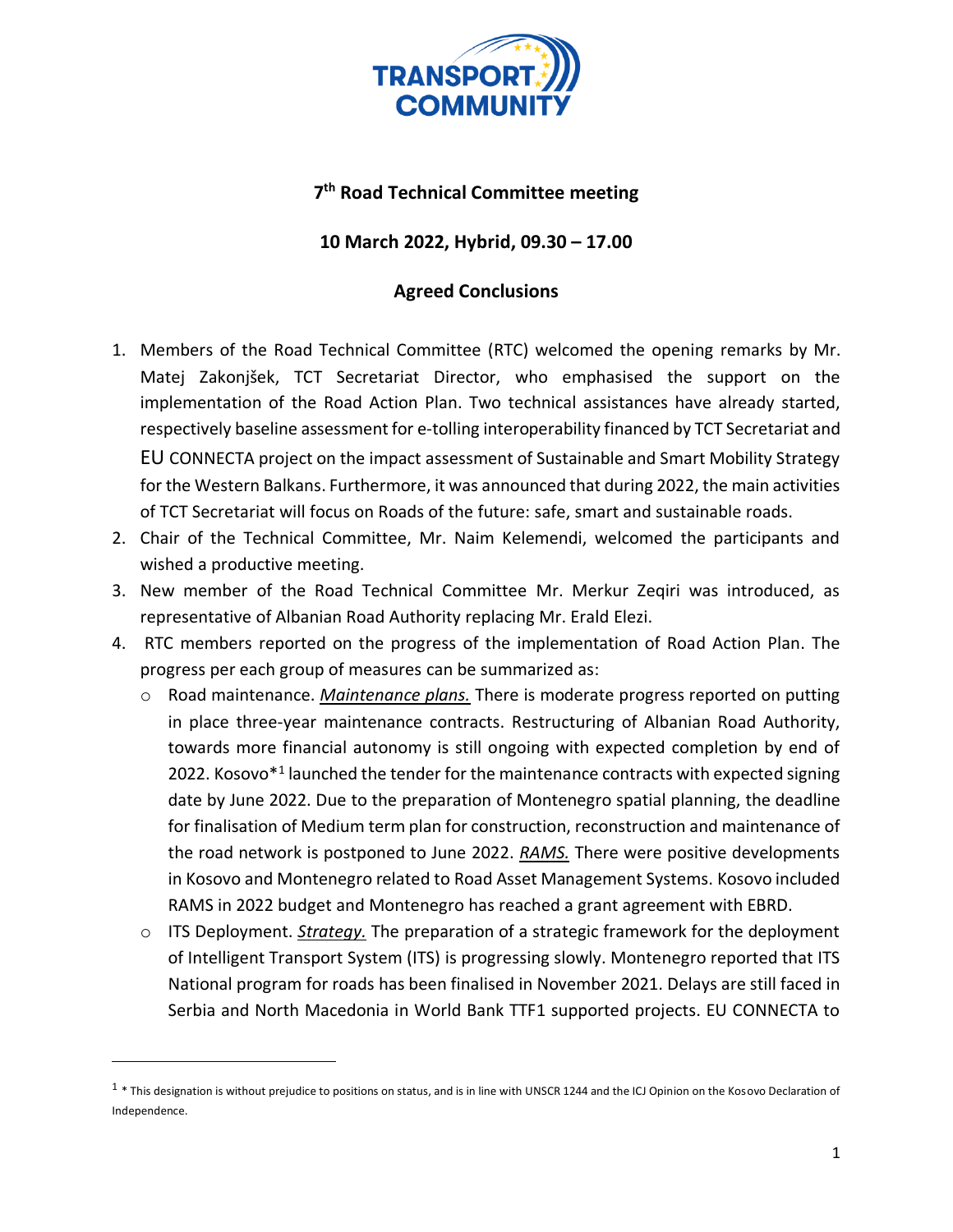

## **7 th Road Technical Committee meeting**

## **10 March 2022, Hybrid, 09.30 – 17.00**

## **Agreed Conclusions**

- 1. Members of the Road Technical Committee (RTC) welcomed the opening remarks by Mr. Matej Zakonjšek, TCT Secretariat Director, who emphasised the support on the implementation of the Road Action Plan. Two technical assistances have already started, respectively baseline assessment for e-tolling interoperability financed by TCT Secretariat and EU CONNECTA project on the impact assessment of Sustainable and Smart Mobility Strategy for the Western Balkans. Furthermore, it was announced that during 2022, the main activities of TCT Secretariat will focus on Roads of the future: safe, smart and sustainable roads.
- 2. Chair of the Technical Committee, Mr. Naim Kelemendi, welcomed the participants and wished a productive meeting.
- 3. New member of the Road Technical Committee Mr. Merkur Zeqiri was introduced, as representative of Albanian Road Authority replacing Mr. Erald Elezi.
- 4. RTC members reported on the progress of the implementation of Road Action Plan. The progress per each group of measures can be summarized as:
	- o Road maintenance. *Maintenance plans.* There is moderate progress reported on putting in place three-year maintenance contracts. Restructuring of Albanian Road Authority, towards more financial autonomy is still ongoing with expected completion by end of 2022. Kosovo\*<sup>1</sup> launched the tender for the maintenance contracts with expected signing date by June 2022. Due to the preparation of Montenegro spatial planning, the deadline for finalisation of Medium term plan for construction, reconstruction and maintenance of the road network is postponed to June 2022. *RAMS.* There were positive developments in Kosovo and Montenegro related to Road Asset Management Systems. Kosovo included RAMS in 2022 budget and Montenegro has reached a grant agreement with EBRD.
	- o ITS Deployment. *Strategy.* The preparation of a strategic framework for the deployment of Intelligent Transport System (ITS) is progressing slowly. Montenegro reported that ITS National program for roads has been finalised in November 2021. Delays are still faced in Serbia and North Macedonia in World Bank TTF1 supported projects. EU CONNECTA to

 $^1$  \* This designation is without prejudice to positions on status, and is in line with UNSCR 1244 and the ICJ Opinion on the Kosovo Declaration of Independence.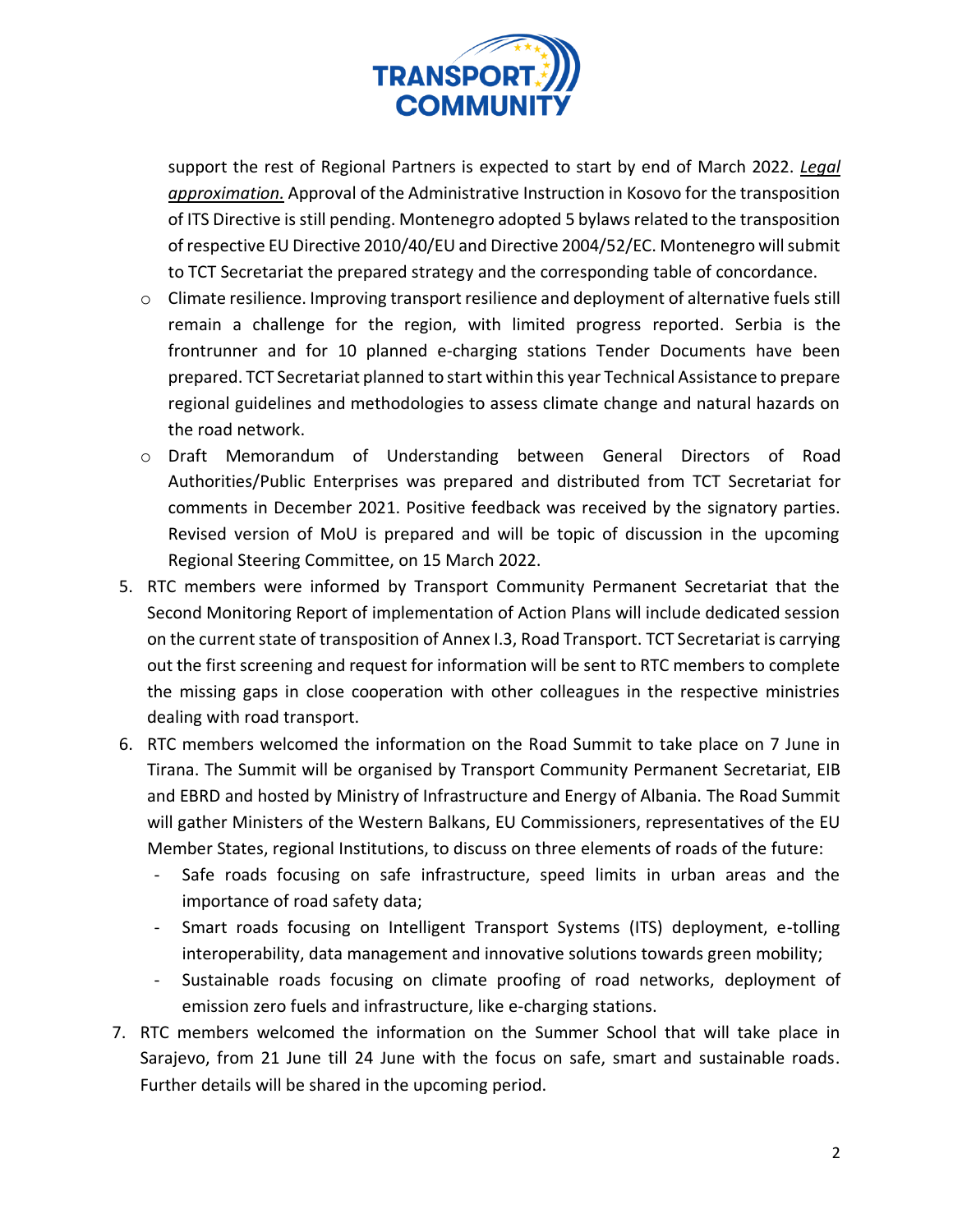

support the rest of Regional Partners is expected to start by end of March 2022. *Legal approximation.* Approval of the Administrative Instruction in Kosovo for the transposition of ITS Directive is still pending. Montenegro adopted 5 bylaws related to the transposition of respective EU Directive 2010/40/EU and Directive 2004/52/EC. Montenegro willsubmit to TCT Secretariat the prepared strategy and the corresponding table of concordance.

- o Climate resilience. Improving transport resilience and deployment of alternative fuels still remain a challenge for the region, with limited progress reported. Serbia is the frontrunner and for 10 planned e-charging stations Tender Documents have been prepared. TCT Secretariat planned to start within this year Technical Assistance to prepare regional guidelines and methodologies to assess climate change and natural hazards on the road network.
- o Draft Memorandum of Understanding between General Directors of Road Authorities/Public Enterprises was prepared and distributed from TCT Secretariat for comments in December 2021. Positive feedback was received by the signatory parties. Revised version of MoU is prepared and will be topic of discussion in the upcoming Regional Steering Committee, on 15 March 2022.
- 5. RTC members were informed by Transport Community Permanent Secretariat that the Second Monitoring Report of implementation of Action Plans will include dedicated session on the current state of transposition of Annex I.3, Road Transport. TCT Secretariat is carrying out the first screening and request for information will be sent to RTC members to complete the missing gaps in close cooperation with other colleagues in the respective ministries dealing with road transport.
- 6. RTC members welcomed the information on the Road Summit to take place on 7 June in Tirana. The Summit will be organised by Transport Community Permanent Secretariat, EIB and EBRD and hosted by Ministry of Infrastructure and Energy of Albania. The Road Summit will gather Ministers of the Western Balkans, EU Commissioners, representatives of the EU Member States, regional Institutions, to discuss on three elements of roads of the future:
	- Safe roads focusing on safe infrastructure, speed limits in urban areas and the importance of road safety data;
	- Smart roads focusing on Intelligent Transport Systems (ITS) deployment, e-tolling interoperability, data management and innovative solutions towards green mobility;
	- Sustainable roads focusing on climate proofing of road networks, deployment of emission zero fuels and infrastructure, like e-charging stations.
- 7. RTC members welcomed the information on the Summer School that will take place in Sarajevo, from 21 June till 24 June with the focus on safe, smart and sustainable roads. Further details will be shared in the upcoming period.